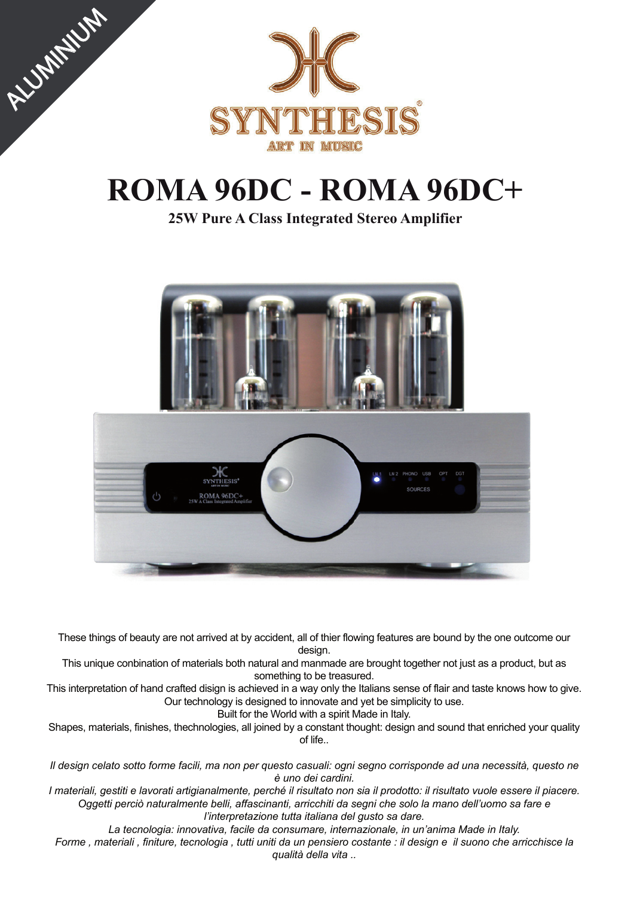

**ALUMINIUM** 

# **ROMA 96DC - ROMA 96DC+**

**25W Pure A Class Integrated Stereo Amplifier**



These things of beauty are not arrived at by accident, all of thier flowing features are bound by the one outcome our design.

This unique conbination of materials both natural and manmade are brought together not just as a product, but as something to be treasured.

This interpretation of hand crafted disign is achieved in a way only the Italians sense of flair and taste knows how to give. Our technology is designed to innovate and yet be simplicity to use.

Built for the World with a spirit Made in Italy.

Shapes, materials, finishes, thechnologies, all joined by a constant thought: design and sound that enriched your quality of life..

*Il design celato sotto forme facili, ma non per questo casuali: ogni segno corrisponde ad una necessità, questo ne è uno dei cardini.*

*I materiali, gestiti e lavorati artigianalmente, perché il risultato non sia il prodotto: il risultato vuole essere il piacere. Oggetti perciò naturalmente belli, affascinanti, arricchiti da segni che solo la mano dell'uomo sa fare e l'interpretazione tutta italiana del gusto sa dare.*

*La tecnologia: innovativa, facile da consumare, internazionale, in un'anima Made in Italy.*

*Forme , materiali , finiture, tecnologia , tutti uniti da un pensiero costante : il design e il suono che arricchisce la qualità della vita ..*